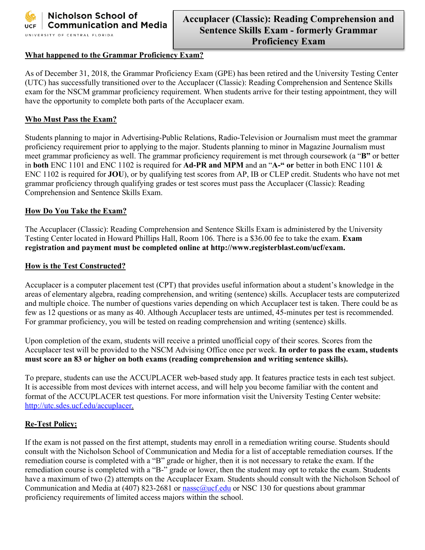

#### **What happened to the Grammar Proficiency Exam?**

As of December 31, 2018, the Grammar Proficiency Exam (GPE) has been retired and the University Testing Center (UTC) has successfully transitioned over to the Accuplacer (Classic): Reading Comprehension and Sentence Skills exam for the NSCM grammar proficiency requirement. When students arrive for their testing appointment, they will have the opportunity to complete both parts of the Accuplacer exam.

#### **Who Must Pass the Exam?**

Students planning to major in Advertising-Public Relations, Radio-Television or Journalism must meet the grammar proficiency requirement prior to applying to the major. Students planning to minor in Magazine Journalism must meet grammar proficiency as well. The grammar proficiency requirement is met through coursework (a "**B"** or better in **both** ENC 1101 and ENC 1102 is required for **Ad-PR and MPM** and an "**A-" or** better in both ENC 1101 & ENC 1102 is required for **JOU**), or by qualifying test scores from AP, IB or CLEP credit. Students who have not met grammar proficiency through qualifying grades or test scores must pass the Accuplacer (Classic): Reading Comprehension and Sentence Skills Exam.

#### **How Do You Take the Exam?**

The Accuplacer (Classic): Reading Comprehension and Sentence Skills Exam is administered by the University Testing Center located in Howard Phillips Hall, Room 106. There is a \$36.00 fee to take the exam. **Exam registration and payment must be completed online at http://www.registerblast.com/ucf/exam.**

#### **How is the Test Constructed?**

Accuplacer is a computer placement test (CPT) that provides useful information about a student's knowledge in the areas of elementary algebra, reading comprehension, and writing (sentence) skills. Accuplacer tests are computerized and multiple choice. The number of questions varies depending on which Accuplacer test is taken. There could be as few as 12 questions or as many as 40. Although Accuplacer tests are untimed, 45-minutes per test is recommended. For grammar proficiency, you will be tested on reading comprehension and writing (sentence) skills.

Upon completion of the exam, students will receive a printed unofficial copy of their scores. Scores from the Accuplacer test will be provided to the NSCM Advising Office once per week. **In order to pass the exam, students must score an 83 or higher on both exams (reading comprehension and writing sentence skills).**

To prepare, students can use the ACCUPLACER web-based study app. It features practice tests in each test subject. It is accessible from most devices with internet access, and will help you become familiar with the content and format of the ACCUPLACER test questions. For more information visit the University Testing Center website: [http://utc.sdes.ucf.edu/accuplacer.](http://utc.sdes.ucf.edu/accuplacer)

### **Re-Test Policy:**

If the exam is not passed on the first attempt, students may enroll in a remediation writing course. Students should consult with the Nicholson School of Communication and Media for a list of acceptable remediation courses. If the remediation course is completed with a "B" grade or higher, then it is not necessary to retake the exam. If the remediation course is completed with a "B-" grade or lower, then the student may opt to retake the exam. Students have a maximum of two (2) attempts on the Accuplacer Exam. Students should consult with the Nicholson School of Communication and Media at (407) 823-2681 or [nassc@ucf.edu](mailto:nassc@ucf.edu) or NSC 130 for questions about grammar proficiency requirements of limited access majors within the school.